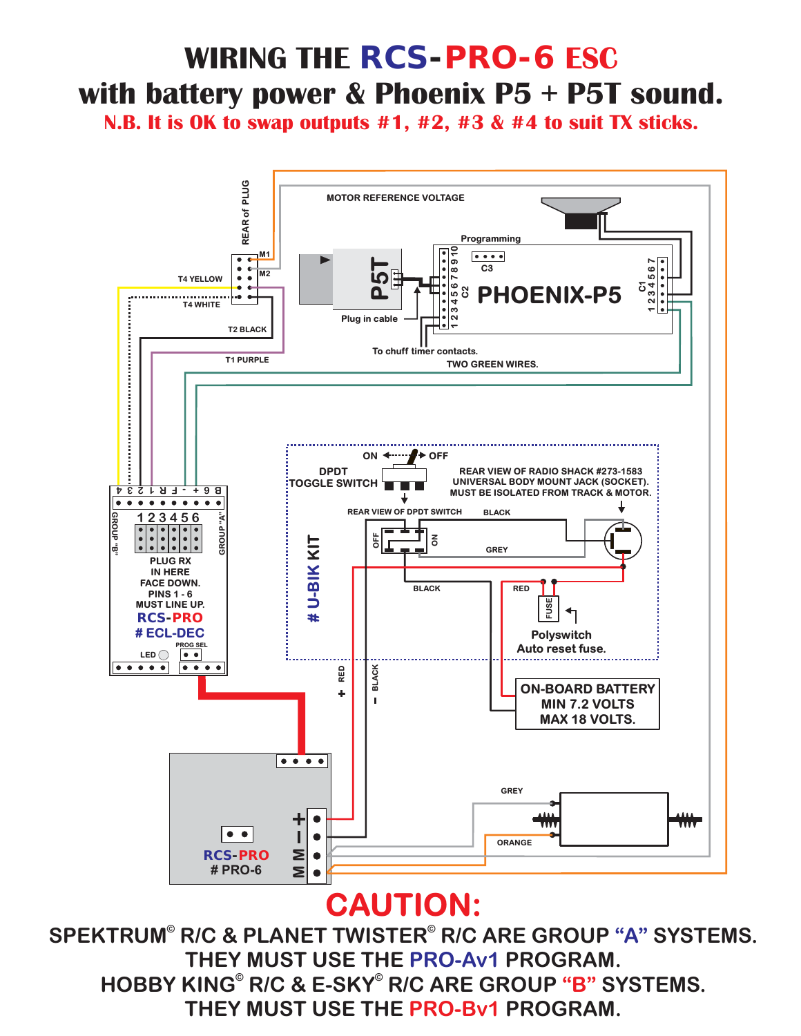# **WIRING THE** *RCS-PRO-6* **ESC with battery power & Phoenix P5 + P5T sound.**

**N.B. It is OK to swap outputs #1, #2, #3 & #4 to suit TX sticks.**



### **CAUTION:**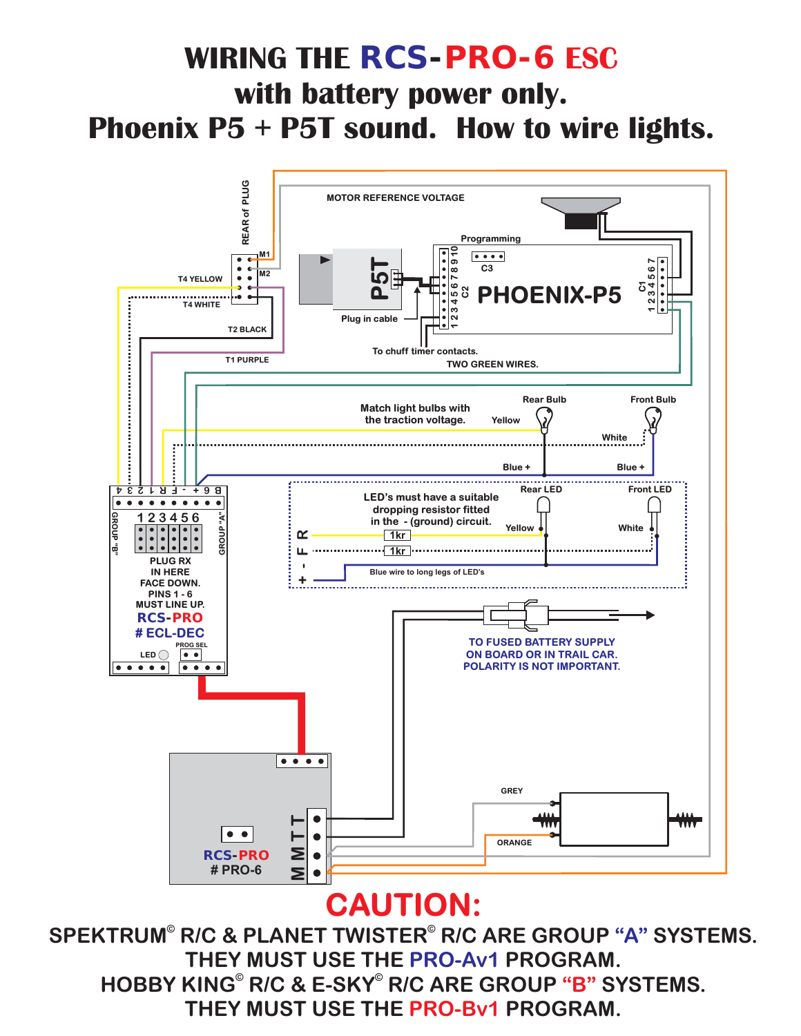### **WIRING THE** *RCS-PRO-6* **ESC with battery power only. Phoenix P5 + P5T sound. How to wire lights.**



#### **CAUTION:**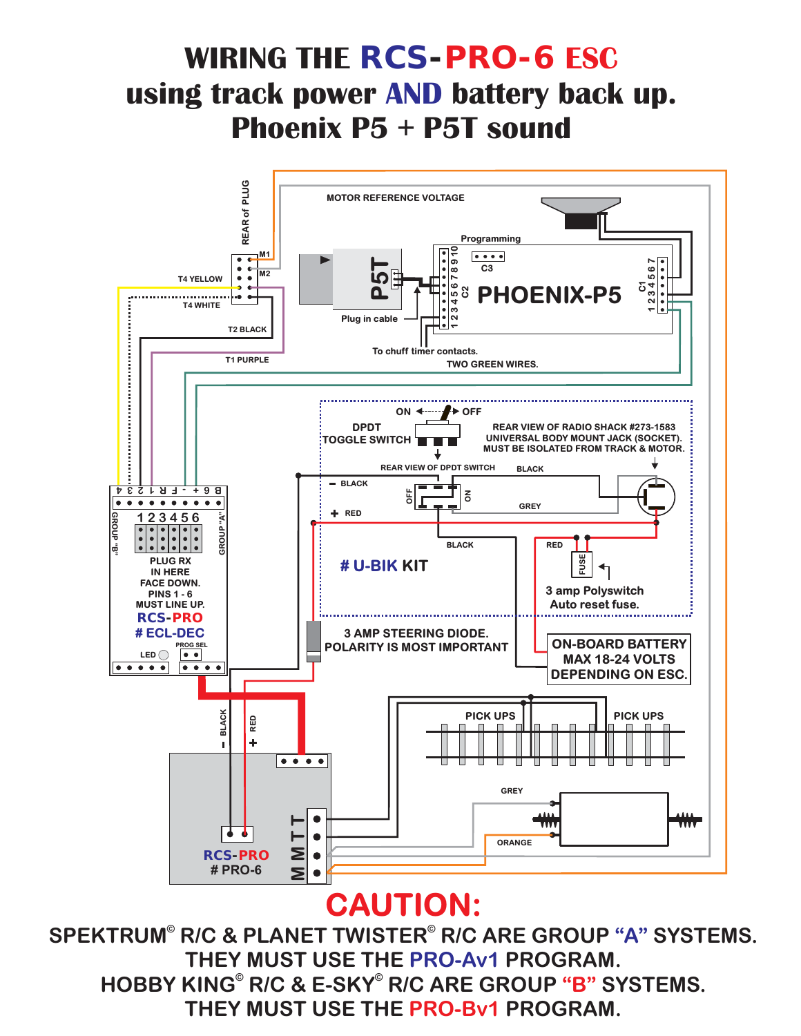### **WIRING THE** *RCS-PRO-6* **ESC using track power AND battery back up. Phoenix P5 + P5T sound**



#### **CAUTION:**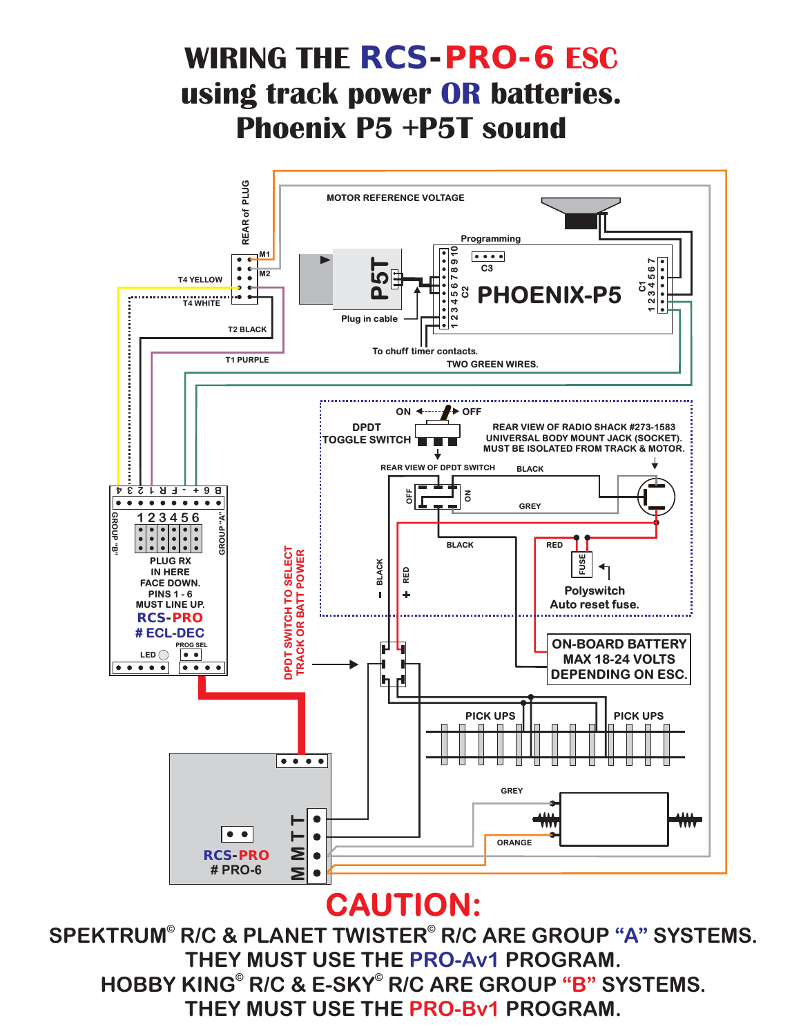$\bullet$ Σ  $\bullet$ **# PRO-6 CAUTION:** SPEKTRUM® R/C & PLANET TWISTER® R/C ARE GROUP "A" SYSTEMS. **THEY MUST USE THE PRO-Av1 PROGRAM.** HOBBY KING<sup>®</sup> R/C & E-SKY<sup>®</sup> R/C ARE GROUP "B" SYSTEMS. **THEY MUST USE THE PRO-Bv1 PROGRAM.** 



### **WIRING THE** *RCS-PRO-6* **ESC using track power OR batteries. Phoenix P5 +P5T sound**